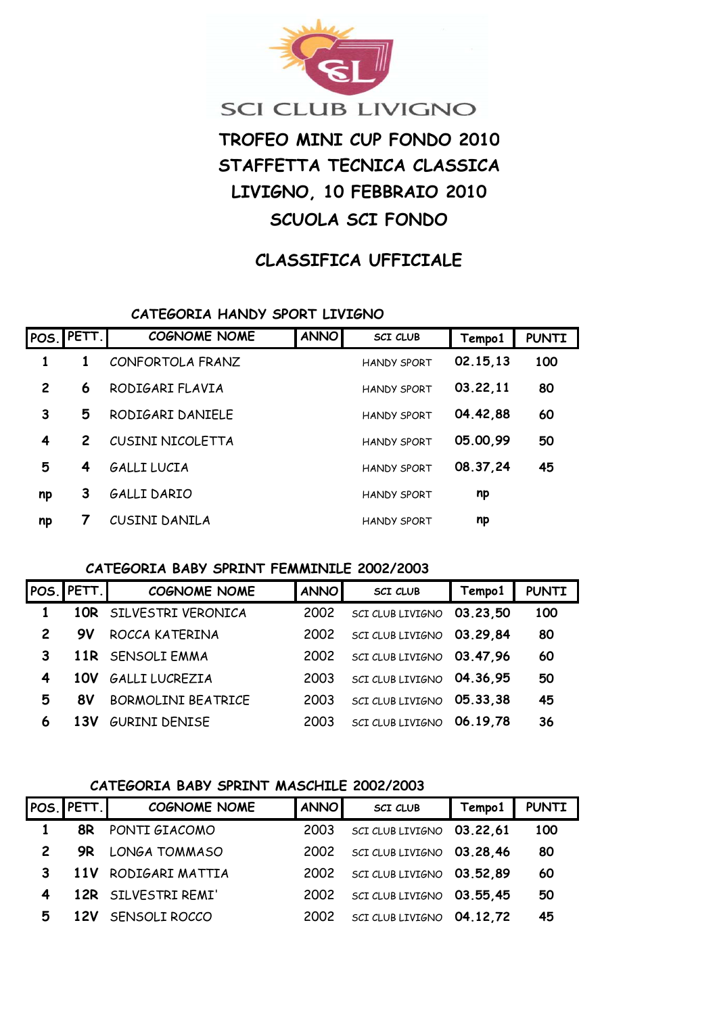

# **SCI CLUB LIVIGNO**

# **TROFEO MINI CUP FONDO 2010 STAFFETTA TECNICA CLASSICA LIVIGNO, 10 FEBBRAIO 2010 SCUOLA SCI FONDO**

# **CLASSIFICA UFFICIALE**

#### **CATEGORIA HANDY SPORT LIVIGNO**

| POS. | PETT. | <b>COGNOME NOME</b> | <b>ANNO</b> | <b>SCI CLUB</b>    | Tempo1   | <b>PUNTI</b> |
|------|-------|---------------------|-------------|--------------------|----------|--------------|
| 1    |       | CONFORTOLA FRANZ    |             | <b>HANDY SPORT</b> | 02.15,13 | 100          |
| 2    | 6     | RODIGARI FLAVIA     |             | <b>HANDY SPORT</b> | 03.22,11 | 80           |
| 3    | 5     | RODIGARI DANIELE    |             | <b>HANDY SPORT</b> | 04.42,88 | 60           |
| 4    | 2     | CUSINI NICOLETTA    |             | <b>HANDY SPORT</b> | 05.00,99 | 50           |
| 5    | 4     | GALLI LUCIA         |             | <b>HANDY SPORT</b> | 08.37,24 | 45           |
| np   | 3     | GALLI DARIO         |             | <b>HANDY SPORT</b> | np       |              |
| np   |       | CUSINI DANILA       |             | <b>HANDY SPORT</b> | np       |              |

#### **CATEGORIA BABY SPRINT FEMMINILE 2002/2003**

|                | POS. PETT. | <b>COGNOME NOME</b>       | <b>ANNO</b> | <b>SCI CLUB</b>           | Tempo1   | <b>PUNTI</b> |
|----------------|------------|---------------------------|-------------|---------------------------|----------|--------------|
|                |            | 10R SILVESTRI VERONICA    | 2002        | SCI CLUB LIVIGNO          | 03.23.50 | 100          |
| $\overline{2}$ | 9V         | ROCCA KATERINA            | 2002        | SCI CLUB LIVIGNO 03.29,84 |          | 80           |
| 3              |            | 11R SENSOLI EMMA          | 2002        | SCI CLUB LIVIGNO 03.47,96 |          | 60           |
| 4              | 10V        | <b>GALLI LUCREZIA</b>     | 2003        | SCI CLUB LIVIGNO 04.36,95 |          | 50           |
| 5              | 8V         | <b>BORMOLINI BEATRICE</b> | 2003        | SCI CLUB LIVIGNO 05.33,38 |          | 45           |
| 6              | 13V        | <b>GURINI DENISE</b>      | 2003        | SCI CLUB LIVIGNO 06.19,78 |          | 36           |

## **CATEGORIA BABY SPRINT MASCHILE 2002/2003**

|              | POS. PETT. | <b>COGNOME NOME</b>     | <b>ANNO</b> | <b>SCI CLUB</b>           | Tempo1 | <b>PUNTI</b> |
|--------------|------------|-------------------------|-------------|---------------------------|--------|--------------|
|              |            | <b>8R</b> PONTI GIACOMO | 2003        | SCI CLUB LIVIGNO 03.22,61 |        | 100          |
| $\mathbf{2}$ | <b>9R</b>  | LONGA TOMMASO           | 2002        | SCI CLUB LIVIGNO 03.28,46 |        | 80           |
| 3            |            | 11V RODIGARI MATTIA     | 2002        | SCI CLUB LIVIGNO 03.52,89 |        | 60           |
| 4            |            | 12R SILVESTRI REMI'     | 2002        | SCI CLUB LIVIGNO 03.55,45 |        | 50           |
| 5            |            | 12V SENSOLI ROCCO       | 2002        | SCI CLUB LIVIGNO 04.12,72 |        | 45           |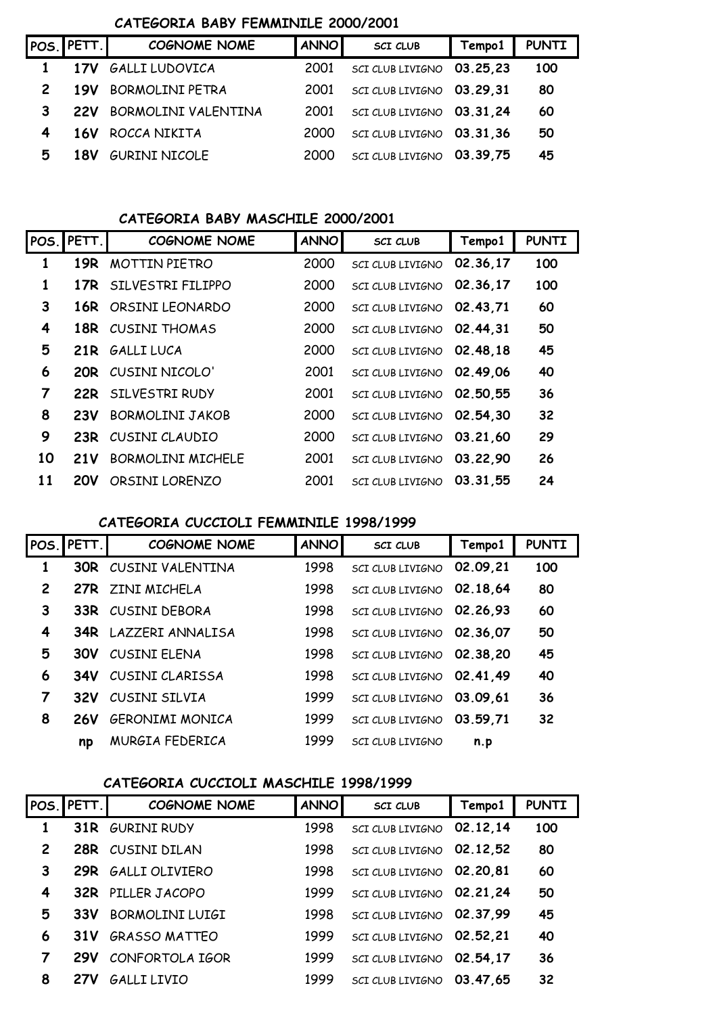## **CATEGORIA BABY FEMMINILE 2000/2001**

|                | POS. PETT. I | <b>COGNOME NOME</b>    | <b>ANNO</b> | <b>SCI CLUB</b>           | Tempo1   | <b>PUNTI</b> |
|----------------|--------------|------------------------|-------------|---------------------------|----------|--------------|
|                | 17V          | <b>GALLI LUDOVICA</b>  | 2001        | SCI CLUB LIVIGNO          | 03.25.23 | 100          |
| $\overline{2}$ | 19V          | <b>BORMOLINI PETRA</b> | 2001        | SCI CLUB LIVIGNO 03.29.31 |          | 80           |
| 3              | <b>22V</b>   | BORMOLINI VALENTINA    | 2001        | SCI CLUB LIVIGNO 03.31.24 |          | 60           |
| 4              | 16V          | ROCCA NIKITA           | 2000        | SCI CLUB LIVIGNO 03.31,36 |          | 50           |
| 5              | <b>18V</b>   | <b>GURINI NICOLE</b>   | 2000        | SCI CLUB LIVIGNO 03.39,75 |          | 45           |
|                |              |                        |             |                           |          |              |

#### **CATEGORIA BABY MASCHILE 2000/2001**

| POS. | PETT.           | <b>COGNOME NOME</b>       | <b>ANNO</b> | <b>SCI CLUB</b>         | Tempo1   | <b>PUNTI</b> |
|------|-----------------|---------------------------|-------------|-------------------------|----------|--------------|
| 1    | 19 <sub>R</sub> | <b>MOTTIN PIETRO</b>      | 2000        | SCI CLUB LIVIGNO        | 02.36,17 | 100          |
| 1    |                 | 17R SILVESTRI FILIPPO     | 2000        | SCI CLUB LIVIGNO        | 02.36.17 | 100          |
| 3    | 16R             | ORSINI LEONARDO           | 2000        | SCI CLUB LIVIGNO        | 02.43,71 | 60           |
| 4    | 18R             | CUSINI THOMAS             | 2000        | SCI CLUB LIVIGNO        | 02.44.31 | 50           |
| 5    | 21R             | <b>GALLI LUCA</b>         | 2000        | SCI CLUB LIVIGNO        | 02.48.18 | 45           |
| 6    |                 | <b>20R</b> CUSINI NICOLO' | 2001        | <b>SCI CLUB LIVIGNO</b> | 02.49.06 | 40           |
| 7    |                 | 22R SILVESTRI RUDY        | 2001        | <b>SCI CLUB LIVIGNO</b> | 02.50,55 | 36           |
| 8    | 23V             | <b>BORMOLINI JAKOB</b>    | 2000        | SCI CLUB LIVIGNO        | 02.54.30 | 32           |
| 9    | 23R             | CUSINI CLAUDIO            | 2000        | <b>SCI CLUB LIVIGNO</b> | 03.21,60 | 29           |
| 10   | 21 V            | <b>BORMOLINI MICHELE</b>  | 2001        | <b>SCI CLUB LIVIGNO</b> | 03.22,90 | 26           |
| 11   | <b>20V</b>      | ORSINI LORENZO            | 2001        | <b>SCI CLUB LIVIGNO</b> | 03.31.55 | 24           |

#### **CATEGORIA CUCCIOLI FEMMINILE 1998/1999**

| POS.           | PETT.      | <b>COGNOME NOME</b>    | <b>ANNO</b> | <b>SCI CLUB</b>         | Tempo1   | <b>PUNTI</b> |
|----------------|------------|------------------------|-------------|-------------------------|----------|--------------|
| 1              | 30R        | CUSINI VALENTINA       | 1998        | SCI CLUB LIVIGNO        | 02.09,21 | 100          |
| $\overline{c}$ |            | 27R ZINI MICHELA       | 1998        | SCI CLUB LIVIGNO        | 02.18.64 | 80           |
| 3              | 33R        | <b>CUSINI DEBORA</b>   | 1998        | SCI CLUB LIVIGNO        | 02.26.93 | 60           |
| 4              | 34R        | LAZZERI ANNALISA       | 1998        | SCI CLUB LIVIGNO        | 02.36.07 | 50           |
| 5              | <b>30V</b> | CUSINI FLENA           | 1998        | SCI CLUB LIVIGNO        | 02.38,20 | 45           |
| 6              | 34V        | CUSINI CLARISSA        | 1998        | SCI CLUB LIVIGNO        | 02.41.49 | 40           |
| 7              | 32V        | CUSINI SILVIA          | 1999        | SCI CLUB LIVIGNO        | 03.09,61 | 36           |
| 8              | <b>26V</b> | <b>GERONIMI MONICA</b> | 1999        | SCI CLUB LIVIGNO        | 03.59,71 | 32           |
|                | np         | MURGIA FEDERICA        | 1999        | <b>SCI CLUB LIVIGNO</b> | n.p      |              |

#### **CATEGORIA CUCCIOLI MASCHILE 1998/1999**

|   | POS. PETT. | <b>COGNOME NOME</b>      | <b>ANNO</b> | <b>SCI CLUB</b>           | Tempo1   | <b>PUNTI</b> |
|---|------------|--------------------------|-------------|---------------------------|----------|--------------|
|   |            | <b>31R GURINI RUDY</b>   | 1998        | SCI CLUB LIVIGNO          | 02.12.14 | 100          |
| 2 | 28R        | CUSINI DILAN             | 1998        | SCI CLUB LIVIGNO 02.12,52 |          | 80           |
| 3 |            | 29R GALLI OLIVIERO       | 1998        | SCI CLUB LIVIGNO 02.20,81 |          | 60           |
| 4 |            | <b>32R PILLER JACOPO</b> | 1999        | SCI CLUB LIVIGNO 02.21,24 |          | 50           |
| 5 | 33V        | <b>BORMOLINI LUIGI</b>   | 1998        | SCI CLUB LIVIGNO 02.37,99 |          | 45           |
| 6 | 31V        | <b>GRASSO MATTEO</b>     | 1999        | SCI CLUB LIVIGNO 02.52.21 |          | 40           |
| 7 | <b>29V</b> | CONFORTOLA IGOR          | 1999        | SCI CLUB LIVIGNO          | 02.54.17 | 36           |
| 8 | 27V        | GALLI LIVIO              | 1999        | SCI CLUB LIVIGNO          | 03.47,65 | 32           |